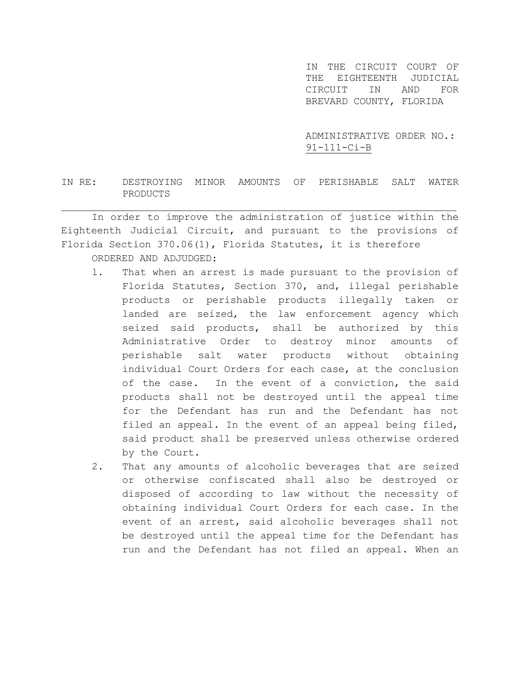IN THE CIRCUIT COURT OF THE EIGHTEENTH JUDICIAL CIRCUIT IN AND FOR BREVARD COUNTY, FLORIDA

ADMINISTRATIVE ORDER NO.: 91-111-Ci-B

## IN RE: DESTROYING MINOR AMOUNTS OF PERISHABLE SALT WATER PRODUCTS

\_\_\_\_\_\_\_\_\_\_\_\_\_\_\_\_\_\_\_\_\_\_\_\_\_\_\_\_\_\_\_\_\_\_\_\_\_\_\_\_\_\_\_\_\_\_\_\_\_\_\_\_\_\_\_\_\_\_\_\_\_\_\_\_\_\_ In order to improve the administration of justice within the Eighteenth Judicial Circuit, and pursuant to the provisions of Florida Section 370.06(1), Florida Statutes, it is therefore ORDERED AND ADJUDGED:

- l. That when an arrest is made pursuant to the provision of Florida Statutes, Section 370, and, illegal perishable products or perishable products illegally taken or landed are seized, the law enforcement agency which seized said products, shall be authorized by this Administrative Order to destroy minor amounts of perishable salt water products without obtaining individual Court Orders for each case, at the conclusion of the case. In the event of a conviction, the said products shall not be destroyed until the appeal time for the Defendant has run and the Defendant has not filed an appeal. In the event of an appeal being filed, said product shall be preserved unless otherwise ordered by the Court.
- 2. That any amounts of alcoholic beverages that are seized or otherwise confiscated shall also be destroyed or disposed of according to law without the necessity of obtaining individual Court Orders for each case. In the event of an arrest, said alcoholic beverages shall not be destroyed until the appeal time for the Defendant has run and the Defendant has not filed an appeal. When an